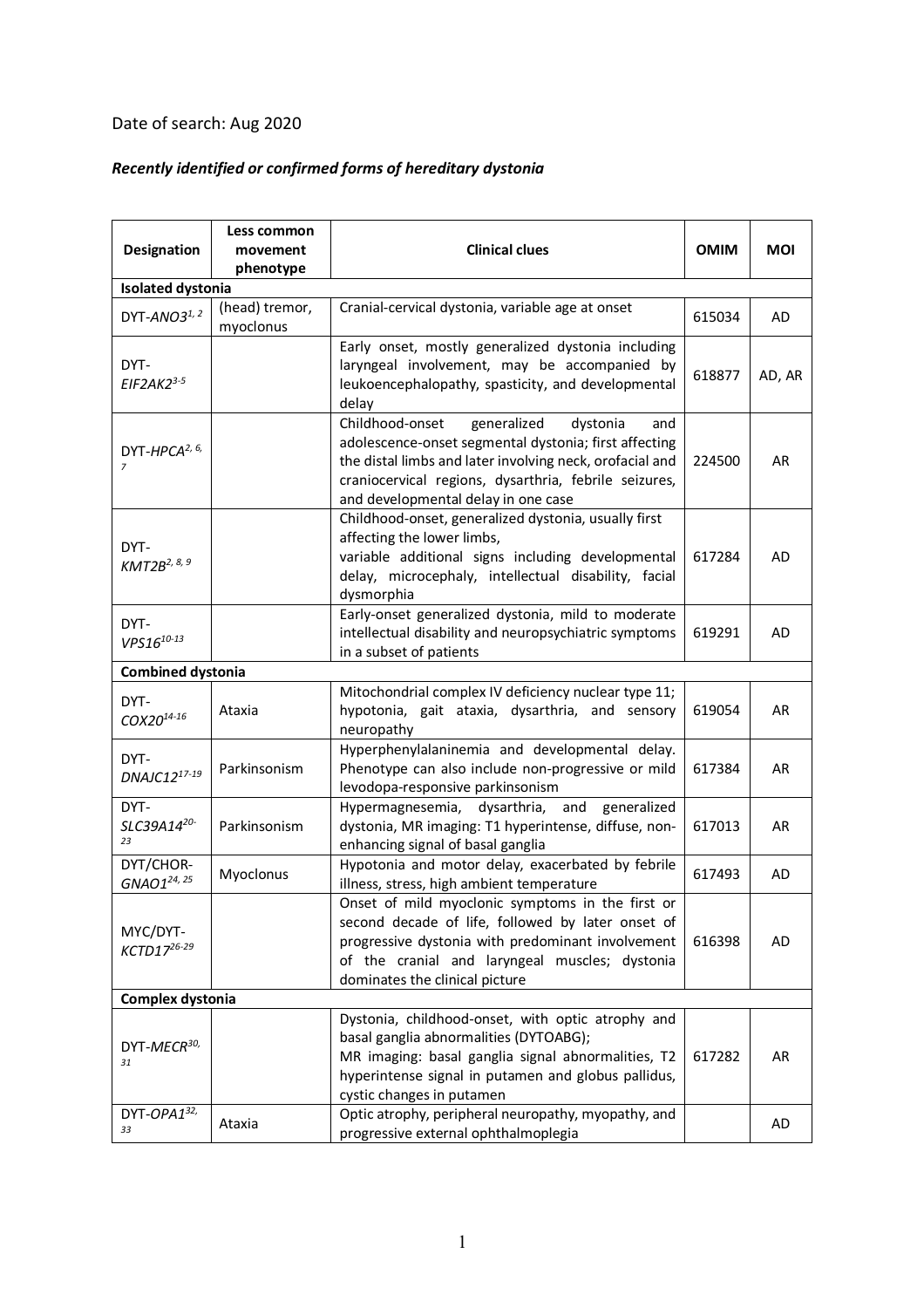## Date of search: Aug 2020

## *Recently identified or confirmed forms of hereditary dystonia*

| <b>Designation</b>                          | Less common<br>movement<br>phenotype | <b>Clinical clues</b>                                                                                                                                                                                                                                                  | <b>OMIM</b> | MOI       |  |  |  |
|---------------------------------------------|--------------------------------------|------------------------------------------------------------------------------------------------------------------------------------------------------------------------------------------------------------------------------------------------------------------------|-------------|-----------|--|--|--|
| <b>Isolated dystonia</b>                    |                                      |                                                                                                                                                                                                                                                                        |             |           |  |  |  |
| DYT-ANO31, 2                                | (head) tremor,<br>myoclonus          | Cranial-cervical dystonia, variable age at onset                                                                                                                                                                                                                       | 615034      | AD        |  |  |  |
| DYT-<br>$EIF2AK23-5$                        |                                      | Early onset, mostly generalized dystonia including<br>laryngeal involvement, may be accompanied by<br>leukoencephalopathy, spasticity, and developmental<br>delay                                                                                                      | 618877      | AD, AR    |  |  |  |
| DYT-HPCA <sup>2, 6,</sup><br>$\overline{z}$ |                                      | generalized<br>Childhood-onset<br>dystonia<br>and<br>adolescence-onset segmental dystonia; first affecting<br>the distal limbs and later involving neck, orofacial and<br>craniocervical regions, dysarthria, febrile seizures,<br>and developmental delay in one case | 224500      | AR        |  |  |  |
| DYT-<br>KMT2B <sup>2, 8, 9</sup>            |                                      | Childhood-onset, generalized dystonia, usually first<br>affecting the lower limbs,<br>variable additional signs including developmental<br>delay, microcephaly, intellectual disability, facial<br>dysmorphia                                                          | 617284      | AD        |  |  |  |
| DYT-<br>$VPS16^{10-13}$                     |                                      | Early-onset generalized dystonia, mild to moderate<br>intellectual disability and neuropsychiatric symptoms<br>in a subset of patients                                                                                                                                 | 619291      | <b>AD</b> |  |  |  |
| <b>Combined dystonia</b>                    |                                      |                                                                                                                                                                                                                                                                        |             |           |  |  |  |
| DYT-<br>COX20 <sup>14-16</sup>              | Ataxia                               | Mitochondrial complex IV deficiency nuclear type 11;<br>hypotonia, gait ataxia, dysarthria, and sensory<br>neuropathy                                                                                                                                                  | 619054      | <b>AR</b> |  |  |  |
| DYT-<br>DNAJC1217-19                        | Parkinsonism                         | Hyperphenylalaninemia and developmental delay.<br>Phenotype can also include non-progressive or mild<br>levodopa-responsive parkinsonism                                                                                                                               | 617384      | AR        |  |  |  |
| DYT-<br>SLC39A1420-<br>23                   | Parkinsonism                         | dysarthria,<br>and<br>generalized<br>Hypermagnesemia,<br>dystonia, MR imaging: T1 hyperintense, diffuse, non-<br>enhancing signal of basal ganglia                                                                                                                     | 617013      | AR        |  |  |  |
| DYT/CHOR-<br>GNAO1 <sup>24, 25</sup>        | Myoclonus                            | Hypotonia and motor delay, exacerbated by febrile<br>illness, stress, high ambient temperature                                                                                                                                                                         | 617493      | AD        |  |  |  |
| MYC/DYT-<br>KCTD17 <sup>26-29</sup>         |                                      | Onset of mild myoclonic symptoms in the first or<br>second decade of life, followed by later onset of<br>progressive dystonia with predominant involvement<br>of the cranial and laryngeal muscles; dystonia<br>dominates the clinical picture                         | 616398      | AD        |  |  |  |
| Complex dystonia                            |                                      |                                                                                                                                                                                                                                                                        |             |           |  |  |  |
| DYT-MECR <sup>30,</sup><br>31               |                                      | Dystonia, childhood-onset, with optic atrophy and<br>basal ganglia abnormalities (DYTOABG);<br>MR imaging: basal ganglia signal abnormalities, T2<br>hyperintense signal in putamen and globus pallidus,<br>cystic changes in putamen                                  | 617282      | AR        |  |  |  |
| DYT-OPA132,<br>33                           | Ataxia                               | Optic atrophy, peripheral neuropathy, myopathy, and<br>progressive external ophthalmoplegia                                                                                                                                                                            |             | AD        |  |  |  |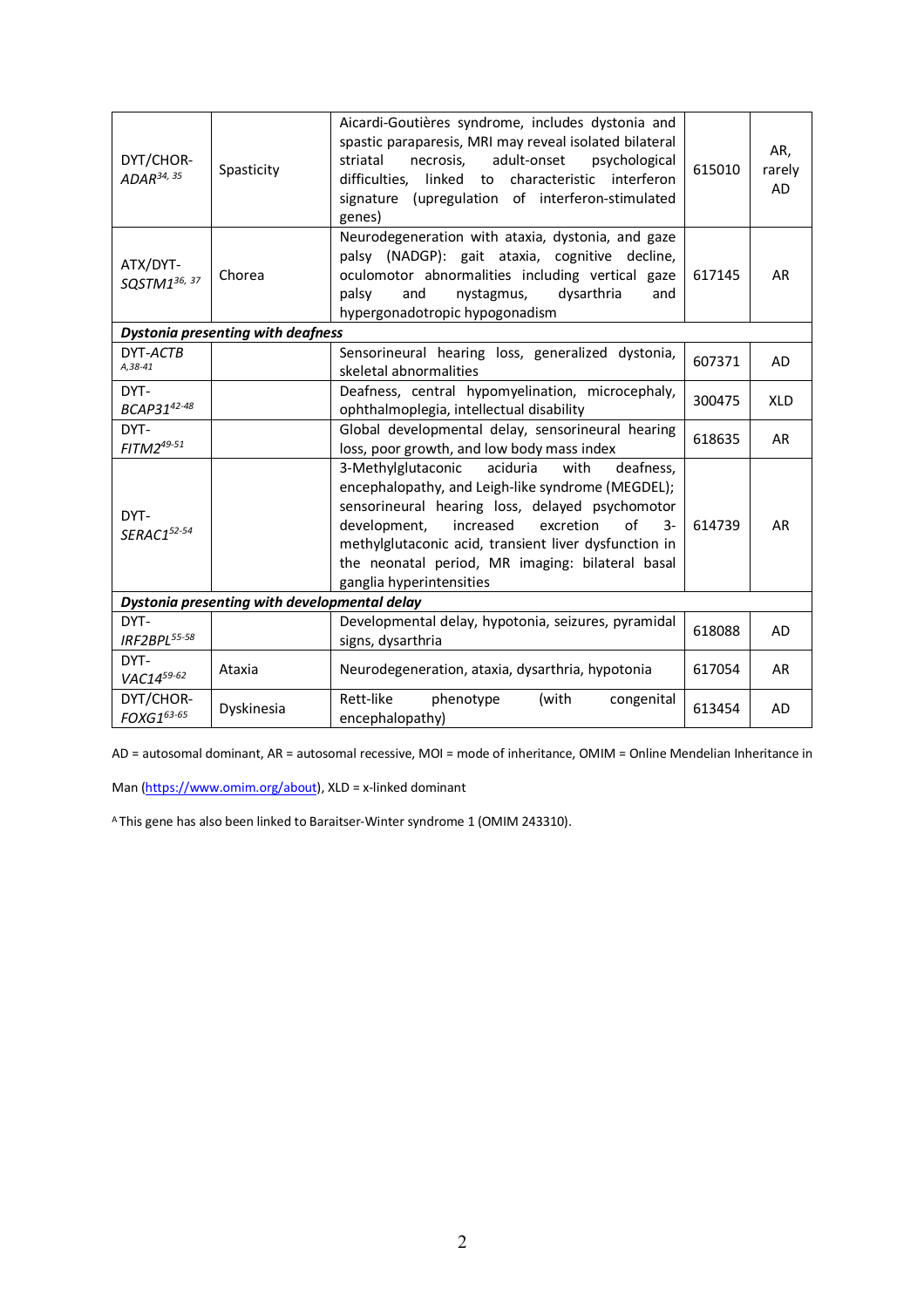| DYT/CHOR-<br>ADAR <sup>34, 35</sup>          | Spasticity | Aicardi-Goutières syndrome, includes dystonia and<br>spastic paraparesis, MRI may reveal isolated bilateral<br>adult-onset<br>striatal<br>necrosis,<br>psychological<br>difficulties.<br>linked to<br>characteristic<br>interferon<br>signature (upregulation of interferon-stimulated<br>genes)                                                             | 615010 | AR,<br>rarely<br><b>AD</b> |  |  |
|----------------------------------------------|------------|--------------------------------------------------------------------------------------------------------------------------------------------------------------------------------------------------------------------------------------------------------------------------------------------------------------------------------------------------------------|--------|----------------------------|--|--|
| ATX/DYT-<br>SQSTM136, 37                     | Chorea     | Neurodegeneration with ataxia, dystonia, and gaze<br>palsy (NADGP): gait ataxia, cognitive decline,<br>oculomotor abnormalities including vertical gaze<br>and<br>dysarthria<br>palsy<br>nystagmus,<br>and<br>hypergonadotropic hypogonadism                                                                                                                 | 617145 | AR                         |  |  |
| <b>Dystonia presenting with deafness</b>     |            |                                                                                                                                                                                                                                                                                                                                                              |        |                            |  |  |
| DYT-ACTB<br>A, 38-41                         |            | Sensorineural hearing loss, generalized dystonia,<br>skeletal abnormalities                                                                                                                                                                                                                                                                                  | 607371 | <b>AD</b>                  |  |  |
| DYT-<br>BCAP3142-48                          |            | Deafness, central hypomyelination, microcephaly,<br>ophthalmoplegia, intellectual disability                                                                                                                                                                                                                                                                 | 300475 | <b>XLD</b>                 |  |  |
| DYT-<br>FITM2 <sup>49-51</sup>               |            | Global developmental delay, sensorineural hearing<br>loss, poor growth, and low body mass index                                                                                                                                                                                                                                                              | 618635 | <b>AR</b>                  |  |  |
| DYT-<br>SERAC152-54                          |            | 3-Methylglutaconic<br>aciduria<br>with<br>deafness,<br>encephalopathy, and Leigh-like syndrome (MEGDEL);<br>sensorineural hearing loss, delayed psychomotor<br>of<br>development,<br>increased<br>excretion<br>$3-$<br>methylglutaconic acid, transient liver dysfunction in<br>the neonatal period, MR imaging: bilateral basal<br>ganglia hyperintensities | 614739 | AR                         |  |  |
| Dystonia presenting with developmental delay |            |                                                                                                                                                                                                                                                                                                                                                              |        |                            |  |  |
| DYT-<br>IRF2BPL55-58                         |            | Developmental delay, hypotonia, seizures, pyramidal<br>signs, dysarthria                                                                                                                                                                                                                                                                                     | 618088 | AD                         |  |  |
| DYT-<br>VAC1459-62                           | Ataxia     | Neurodegeneration, ataxia, dysarthria, hypotonia                                                                                                                                                                                                                                                                                                             | 617054 | AR                         |  |  |
| DYT/CHOR-<br>FOXG163-65                      | Dyskinesia | Rett-like<br>phenotype<br>(with<br>congenital<br>encephalopathy)                                                                                                                                                                                                                                                                                             | 613454 | <b>AD</b>                  |  |  |

AD = autosomal dominant, AR = autosomal recessive, MOI = mode of inheritance, OMIM = Online Mendelian Inheritance in

Man (https://www.omim.org/about), XLD = x-linked dominant

A This gene has also been linked to Baraitser-Winter syndrome 1 (OMIM 243310).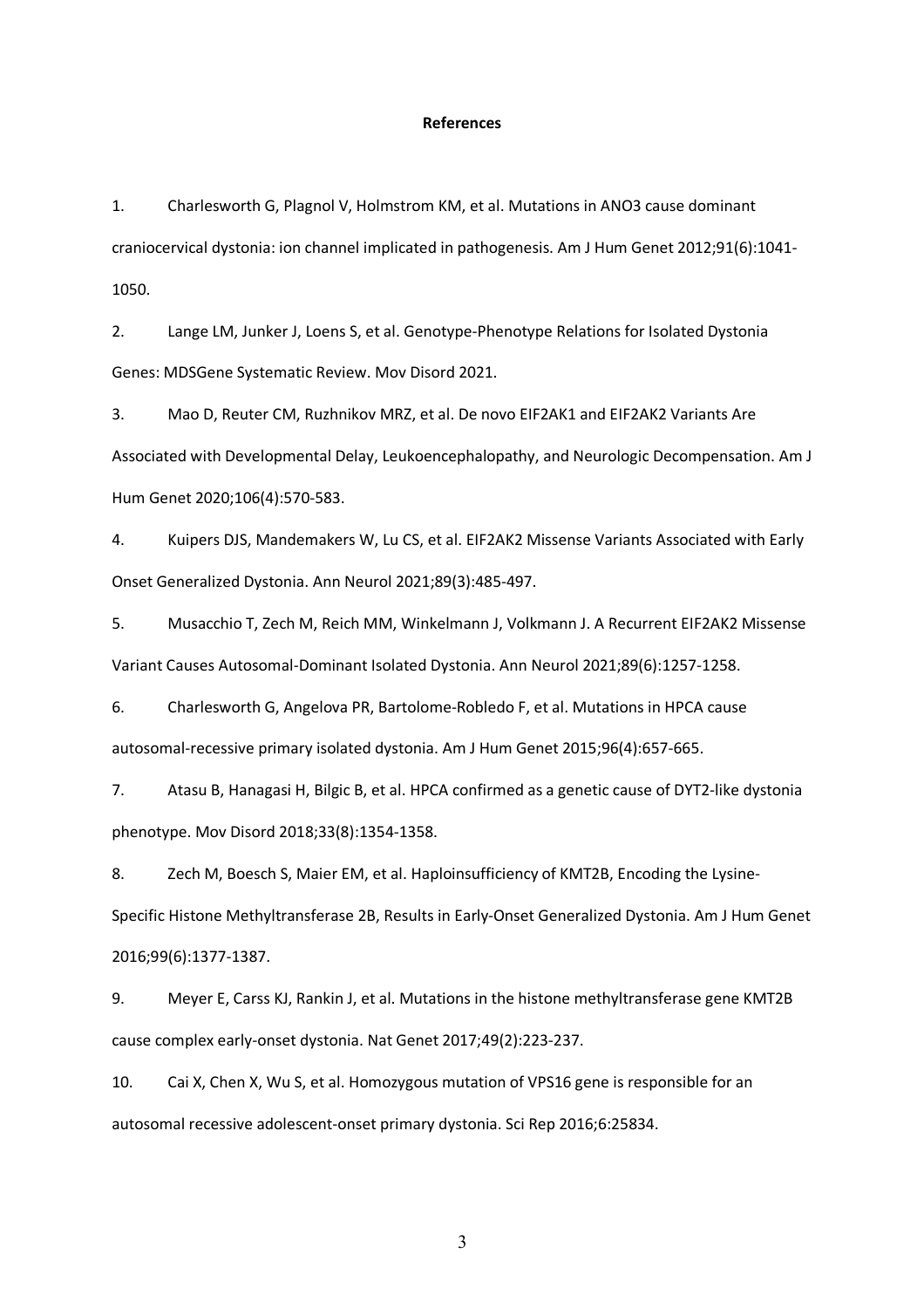## **References**

1. Charlesworth G, Plagnol V, Holmstrom KM, et al. Mutations in ANO3 cause dominant craniocervical dystonia: ion channel implicated in pathogenesis. Am J Hum Genet 2012;91(6):1041- 1050.

2. Lange LM, Junker J, Loens S, et al. Genotype-Phenotype Relations for Isolated Dystonia Genes: MDSGene Systematic Review. Mov Disord 2021.

3. Mao D, Reuter CM, Ruzhnikov MRZ, et al. De novo EIF2AK1 and EIF2AK2 Variants Are Associated with Developmental Delay, Leukoencephalopathy, and Neurologic Decompensation. Am J Hum Genet 2020;106(4):570-583.

4. Kuipers DJS, Mandemakers W, Lu CS, et al. EIF2AK2 Missense Variants Associated with Early Onset Generalized Dystonia. Ann Neurol 2021;89(3):485-497.

5. Musacchio T, Zech M, Reich MM, Winkelmann J, Volkmann J. A Recurrent EIF2AK2 Missense Variant Causes Autosomal-Dominant Isolated Dystonia. Ann Neurol 2021;89(6):1257-1258.

6. Charlesworth G, Angelova PR, Bartolome-Robledo F, et al. Mutations in HPCA cause autosomal-recessive primary isolated dystonia. Am J Hum Genet 2015;96(4):657-665.

7. Atasu B, Hanagasi H, Bilgic B, et al. HPCA confirmed as a genetic cause of DYT2-like dystonia phenotype. Mov Disord 2018;33(8):1354-1358.

8. Zech M, Boesch S, Maier EM, et al. Haploinsufficiency of KMT2B, Encoding the Lysine-Specific Histone Methyltransferase 2B, Results in Early-Onset Generalized Dystonia. Am J Hum Genet 2016;99(6):1377-1387.

9. Meyer E, Carss KJ, Rankin J, et al. Mutations in the histone methyltransferase gene KMT2B cause complex early-onset dystonia. Nat Genet 2017;49(2):223-237.

10. Cai X, Chen X, Wu S, et al. Homozygous mutation of VPS16 gene is responsible for an autosomal recessive adolescent-onset primary dystonia. Sci Rep 2016;6:25834.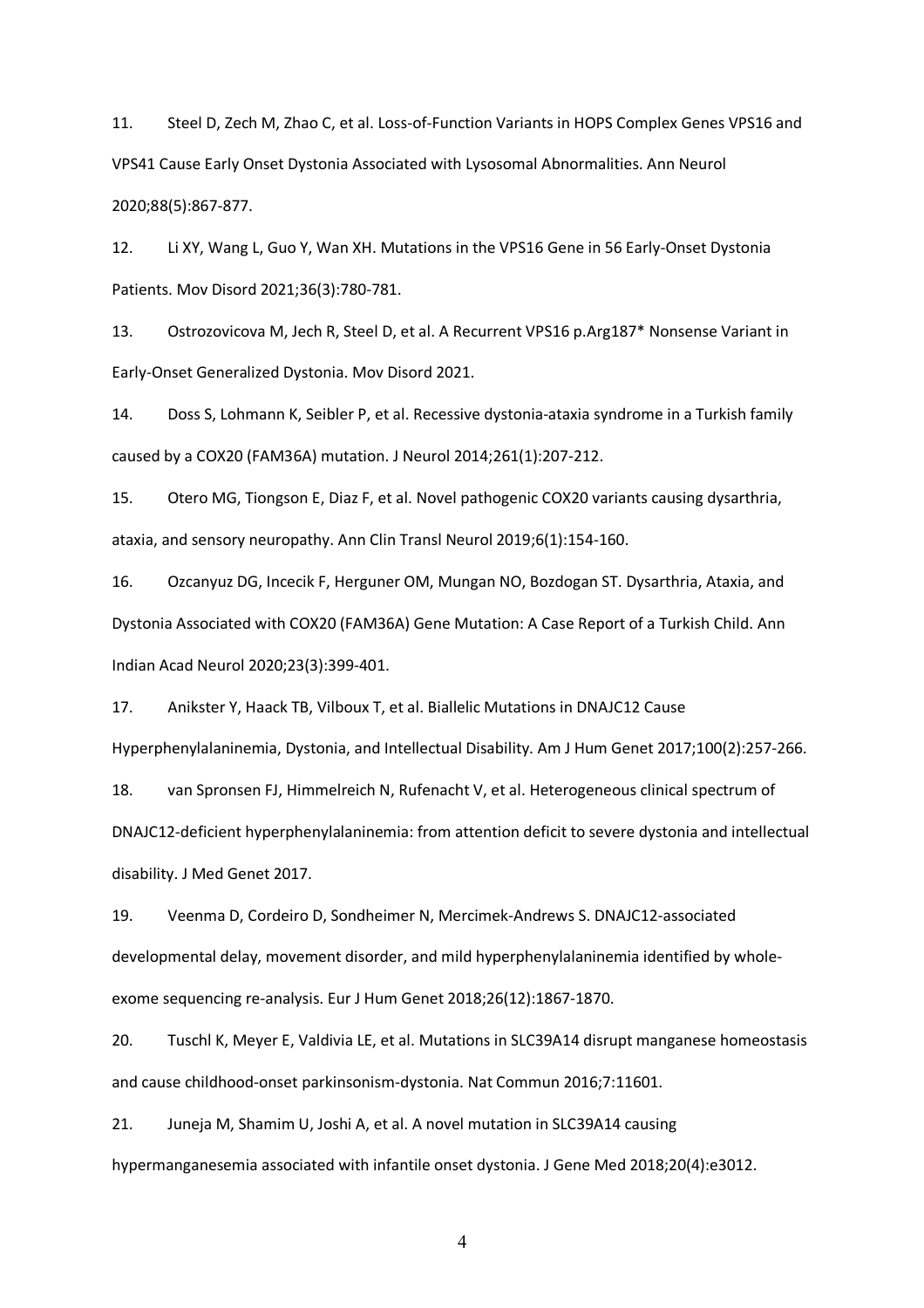11. Steel D, Zech M, Zhao C, et al. Loss-of-Function Variants in HOPS Complex Genes VPS16 and VPS41 Cause Early Onset Dystonia Associated with Lysosomal Abnormalities. Ann Neurol 2020;88(5):867-877.

12. Li XY, Wang L, Guo Y, Wan XH. Mutations in the VPS16 Gene in 56 Early-Onset Dystonia Patients. Mov Disord 2021;36(3):780-781.

13. Ostrozovicova M, Jech R, Steel D, et al. A Recurrent VPS16 p.Arg187\* Nonsense Variant in Early-Onset Generalized Dystonia. Mov Disord 2021.

14. Doss S, Lohmann K, Seibler P, et al. Recessive dystonia-ataxia syndrome in a Turkish family caused by a COX20 (FAM36A) mutation. J Neurol 2014;261(1):207-212.

15. Otero MG, Tiongson E, Diaz F, et al. Novel pathogenic COX20 variants causing dysarthria, ataxia, and sensory neuropathy. Ann Clin Transl Neurol 2019;6(1):154-160.

16. Ozcanyuz DG, Incecik F, Herguner OM, Mungan NO, Bozdogan ST. Dysarthria, Ataxia, and Dystonia Associated with COX20 (FAM36A) Gene Mutation: A Case Report of a Turkish Child. Ann Indian Acad Neurol 2020;23(3):399-401.

17. Anikster Y, Haack TB, Vilboux T, et al. Biallelic Mutations in DNAJC12 Cause

Hyperphenylalaninemia, Dystonia, and Intellectual Disability. Am J Hum Genet 2017;100(2):257-266.

18. van Spronsen FJ, Himmelreich N, Rufenacht V, et al. Heterogeneous clinical spectrum of DNAJC12-deficient hyperphenylalaninemia: from attention deficit to severe dystonia and intellectual disability. J Med Genet 2017.

19. Veenma D, Cordeiro D, Sondheimer N, Mercimek-Andrews S. DNAJC12-associated developmental delay, movement disorder, and mild hyperphenylalaninemia identified by wholeexome sequencing re-analysis. Eur J Hum Genet 2018;26(12):1867-1870.

20. Tuschl K, Meyer E, Valdivia LE, et al. Mutations in SLC39A14 disrupt manganese homeostasis and cause childhood-onset parkinsonism-dystonia. Nat Commun 2016;7:11601.

21. Juneja M, Shamim U, Joshi A, et al. A novel mutation in SLC39A14 causing hypermanganesemia associated with infantile onset dystonia. J Gene Med 2018;20(4):e3012.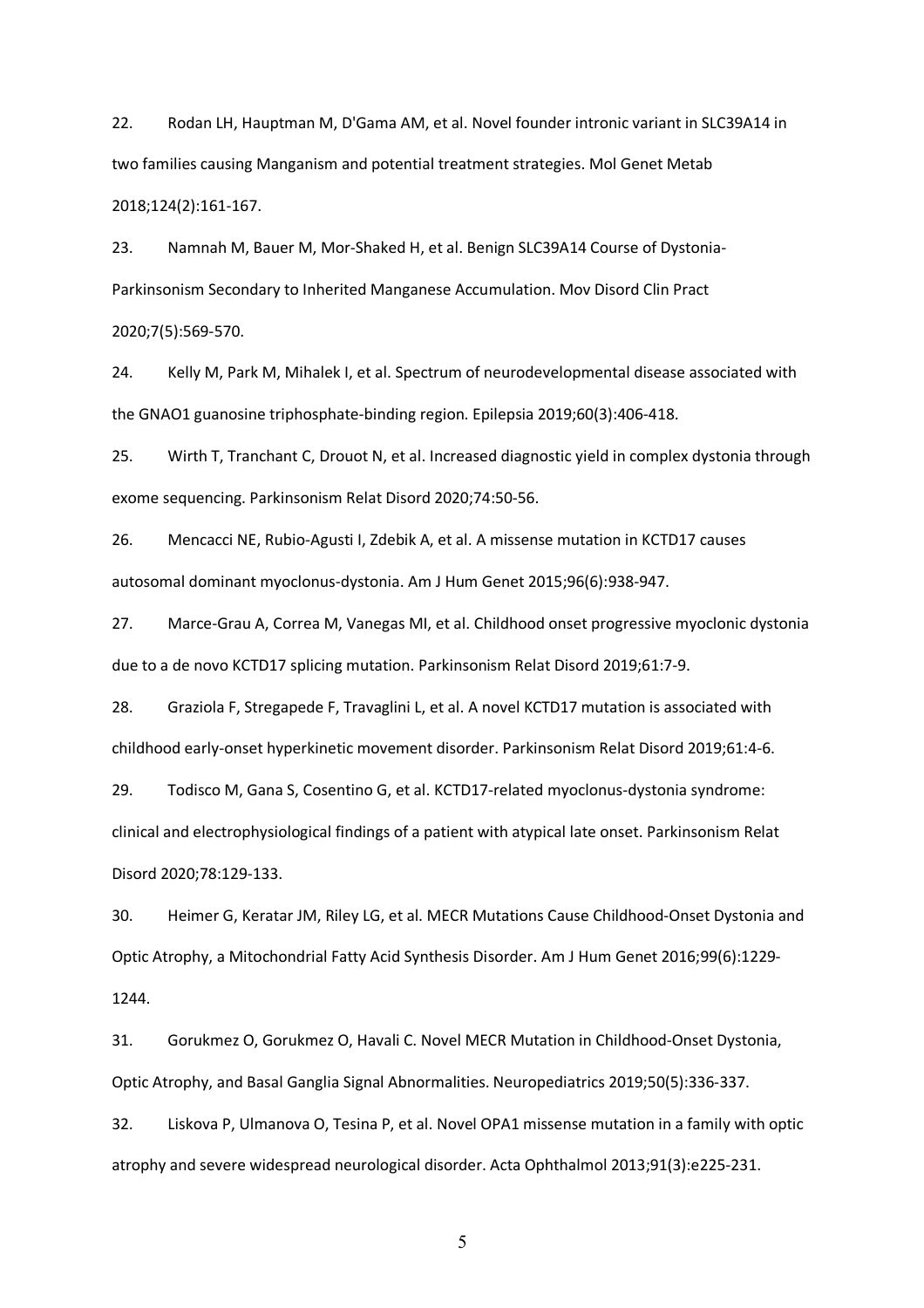22. Rodan LH, Hauptman M, D'Gama AM, et al. Novel founder intronic variant in SLC39A14 in two families causing Manganism and potential treatment strategies. Mol Genet Metab 2018;124(2):161-167.

23. Namnah M, Bauer M, Mor-Shaked H, et al. Benign SLC39A14 Course of Dystonia-Parkinsonism Secondary to Inherited Manganese Accumulation. Mov Disord Clin Pract 2020;7(5):569-570.

24. Kelly M, Park M, Mihalek I, et al. Spectrum of neurodevelopmental disease associated with the GNAO1 guanosine triphosphate-binding region. Epilepsia 2019;60(3):406-418.

25. Wirth T, Tranchant C, Drouot N, et al. Increased diagnostic yield in complex dystonia through exome sequencing. Parkinsonism Relat Disord 2020;74:50-56.

26. Mencacci NE, Rubio-Agusti I, Zdebik A, et al. A missense mutation in KCTD17 causes autosomal dominant myoclonus-dystonia. Am J Hum Genet 2015;96(6):938-947.

27. Marce-Grau A, Correa M, Vanegas MI, et al. Childhood onset progressive myoclonic dystonia due to a de novo KCTD17 splicing mutation. Parkinsonism Relat Disord 2019;61:7-9.

28. Graziola F, Stregapede F, Travaglini L, et al. A novel KCTD17 mutation is associated with childhood early-onset hyperkinetic movement disorder. Parkinsonism Relat Disord 2019;61:4-6.

29. Todisco M, Gana S, Cosentino G, et al. KCTD17-related myoclonus-dystonia syndrome:

clinical and electrophysiological findings of a patient with atypical late onset. Parkinsonism Relat Disord 2020;78:129-133.

30. Heimer G, Keratar JM, Riley LG, et al. MECR Mutations Cause Childhood-Onset Dystonia and Optic Atrophy, a Mitochondrial Fatty Acid Synthesis Disorder. Am J Hum Genet 2016;99(6):1229- 1244.

31. Gorukmez O, Gorukmez O, Havali C. Novel MECR Mutation in Childhood-Onset Dystonia, Optic Atrophy, and Basal Ganglia Signal Abnormalities. Neuropediatrics 2019;50(5):336-337.

32. Liskova P, Ulmanova O, Tesina P, et al. Novel OPA1 missense mutation in a family with optic atrophy and severe widespread neurological disorder. Acta Ophthalmol 2013;91(3):e225-231.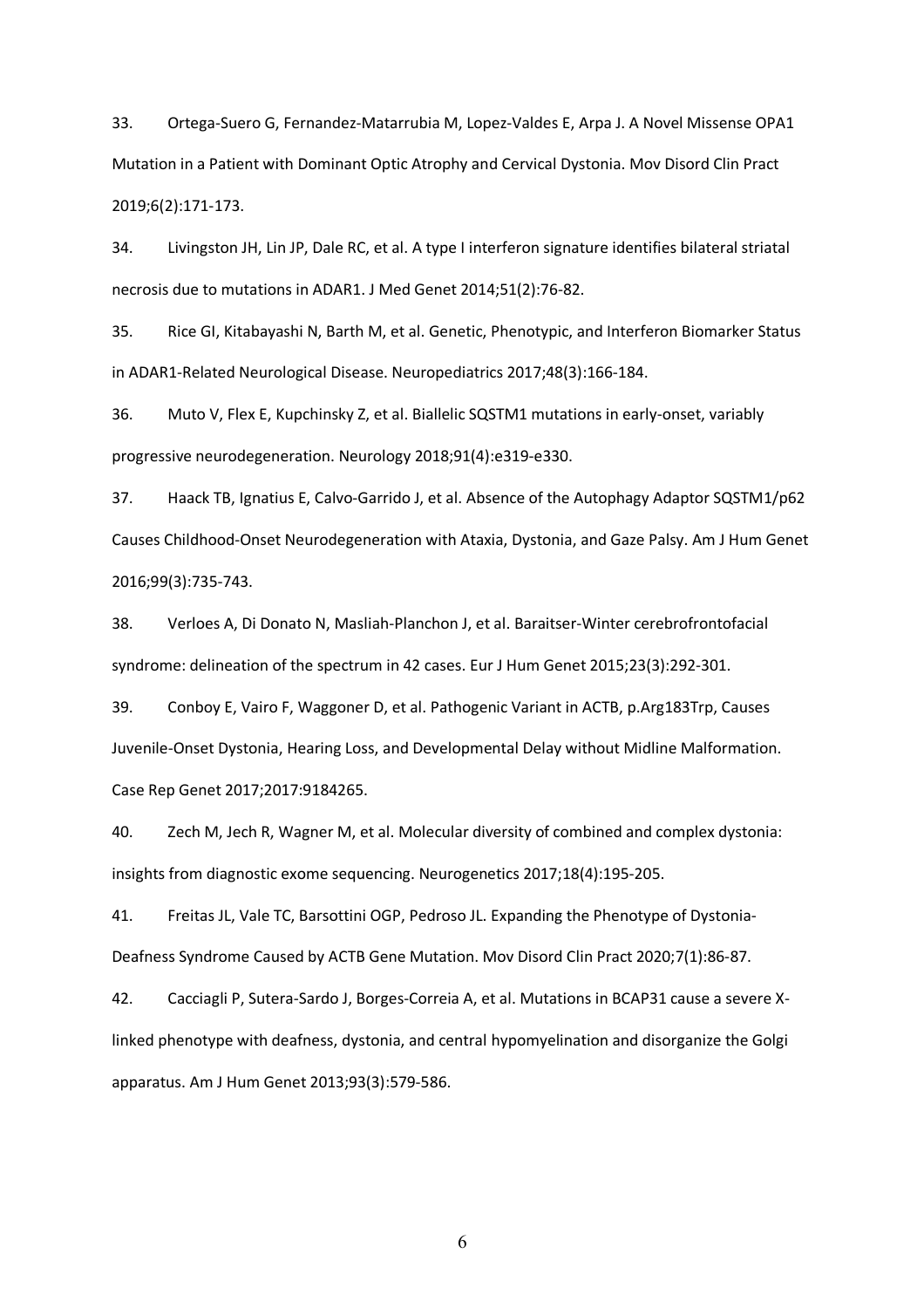33. Ortega-Suero G, Fernandez-Matarrubia M, Lopez-Valdes E, Arpa J. A Novel Missense OPA1 Mutation in a Patient with Dominant Optic Atrophy and Cervical Dystonia. Mov Disord Clin Pract 2019;6(2):171-173.

34. Livingston JH, Lin JP, Dale RC, et al. A type I interferon signature identifies bilateral striatal necrosis due to mutations in ADAR1. J Med Genet 2014;51(2):76-82.

35. Rice GI, Kitabayashi N, Barth M, et al. Genetic, Phenotypic, and Interferon Biomarker Status in ADAR1-Related Neurological Disease. Neuropediatrics 2017;48(3):166-184.

36. Muto V, Flex E, Kupchinsky Z, et al. Biallelic SQSTM1 mutations in early-onset, variably progressive neurodegeneration. Neurology 2018;91(4):e319-e330.

37. Haack TB, Ignatius E, Calvo-Garrido J, et al. Absence of the Autophagy Adaptor SQSTM1/p62 Causes Childhood-Onset Neurodegeneration with Ataxia, Dystonia, and Gaze Palsy. Am J Hum Genet 2016;99(3):735-743.

38. Verloes A, Di Donato N, Masliah-Planchon J, et al. Baraitser-Winter cerebrofrontofacial syndrome: delineation of the spectrum in 42 cases. Eur J Hum Genet 2015;23(3):292-301.

39. Conboy E, Vairo F, Waggoner D, et al. Pathogenic Variant in ACTB, p.Arg183Trp, Causes Juvenile-Onset Dystonia, Hearing Loss, and Developmental Delay without Midline Malformation. Case Rep Genet 2017;2017:9184265.

40. Zech M, Jech R, Wagner M, et al. Molecular diversity of combined and complex dystonia: insights from diagnostic exome sequencing. Neurogenetics 2017;18(4):195-205.

41. Freitas JL, Vale TC, Barsottini OGP, Pedroso JL. Expanding the Phenotype of Dystonia-Deafness Syndrome Caused by ACTB Gene Mutation. Mov Disord Clin Pract 2020;7(1):86-87.

42. Cacciagli P, Sutera-Sardo J, Borges-Correia A, et al. Mutations in BCAP31 cause a severe Xlinked phenotype with deafness, dystonia, and central hypomyelination and disorganize the Golgi apparatus. Am J Hum Genet 2013;93(3):579-586.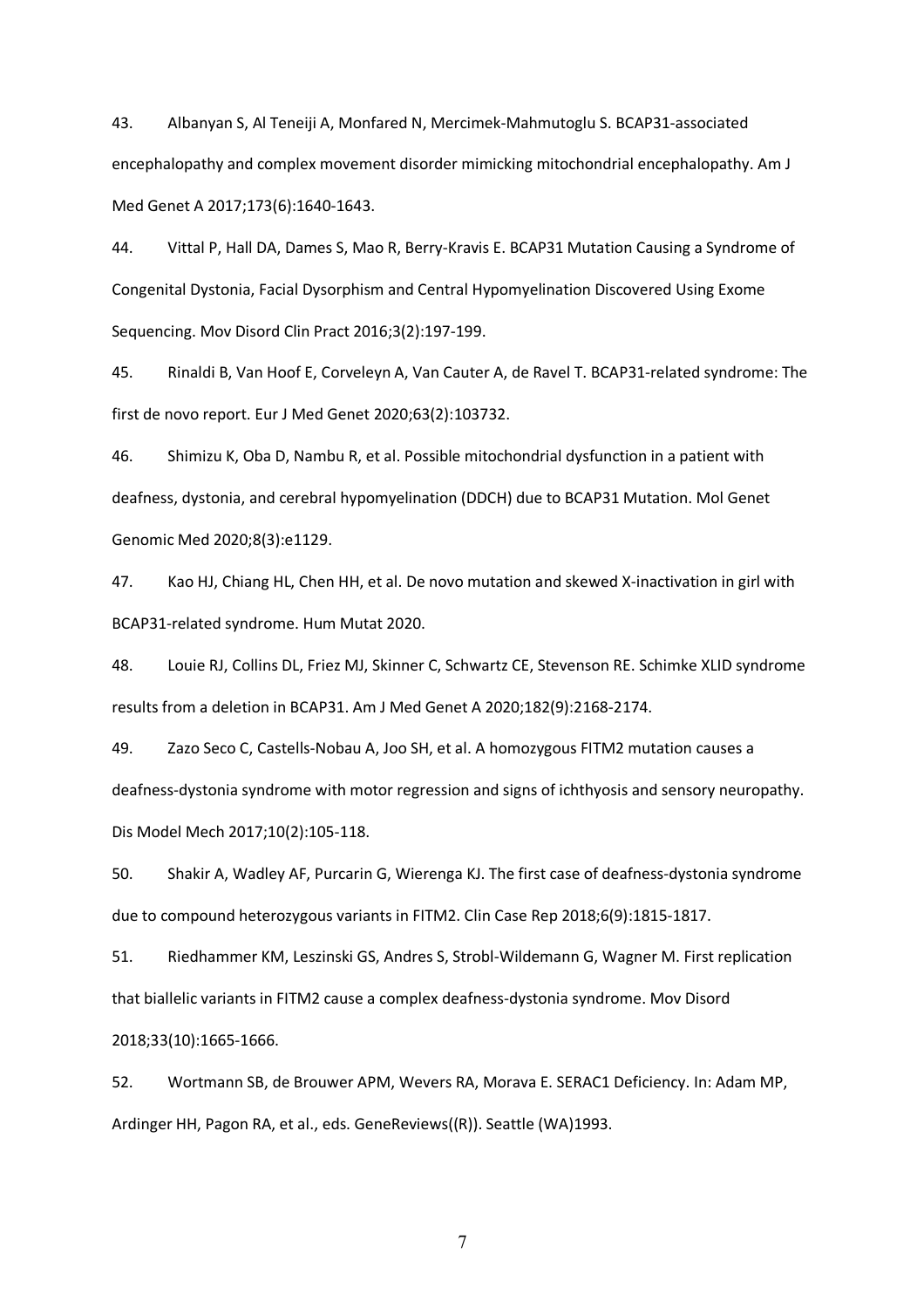43. Albanyan S, Al Teneiji A, Monfared N, Mercimek-Mahmutoglu S. BCAP31-associated encephalopathy and complex movement disorder mimicking mitochondrial encephalopathy. Am J Med Genet A 2017;173(6):1640-1643.

44. Vittal P, Hall DA, Dames S, Mao R, Berry-Kravis E. BCAP31 Mutation Causing a Syndrome of Congenital Dystonia, Facial Dysorphism and Central Hypomyelination Discovered Using Exome Sequencing. Mov Disord Clin Pract 2016;3(2):197-199.

45. Rinaldi B, Van Hoof E, Corveleyn A, Van Cauter A, de Ravel T. BCAP31-related syndrome: The first de novo report. Eur J Med Genet 2020;63(2):103732.

46. Shimizu K, Oba D, Nambu R, et al. Possible mitochondrial dysfunction in a patient with deafness, dystonia, and cerebral hypomyelination (DDCH) due to BCAP31 Mutation. Mol Genet Genomic Med 2020;8(3):e1129.

47. Kao HJ, Chiang HL, Chen HH, et al. De novo mutation and skewed X-inactivation in girl with BCAP31-related syndrome. Hum Mutat 2020.

48. Louie RJ, Collins DL, Friez MJ, Skinner C, Schwartz CE, Stevenson RE. Schimke XLID syndrome results from a deletion in BCAP31. Am J Med Genet A 2020;182(9):2168-2174.

49. Zazo Seco C, Castells-Nobau A, Joo SH, et al. A homozygous FITM2 mutation causes a deafness-dystonia syndrome with motor regression and signs of ichthyosis and sensory neuropathy. Dis Model Mech 2017;10(2):105-118.

50. Shakir A, Wadley AF, Purcarin G, Wierenga KJ. The first case of deafness-dystonia syndrome due to compound heterozygous variants in FITM2. Clin Case Rep 2018;6(9):1815-1817.

51. Riedhammer KM, Leszinski GS, Andres S, Strobl-Wildemann G, Wagner M. First replication that biallelic variants in FITM2 cause a complex deafness-dystonia syndrome. Mov Disord 2018;33(10):1665-1666.

52. Wortmann SB, de Brouwer APM, Wevers RA, Morava E. SERAC1 Deficiency. In: Adam MP, Ardinger HH, Pagon RA, et al., eds. GeneReviews((R)). Seattle (WA)1993.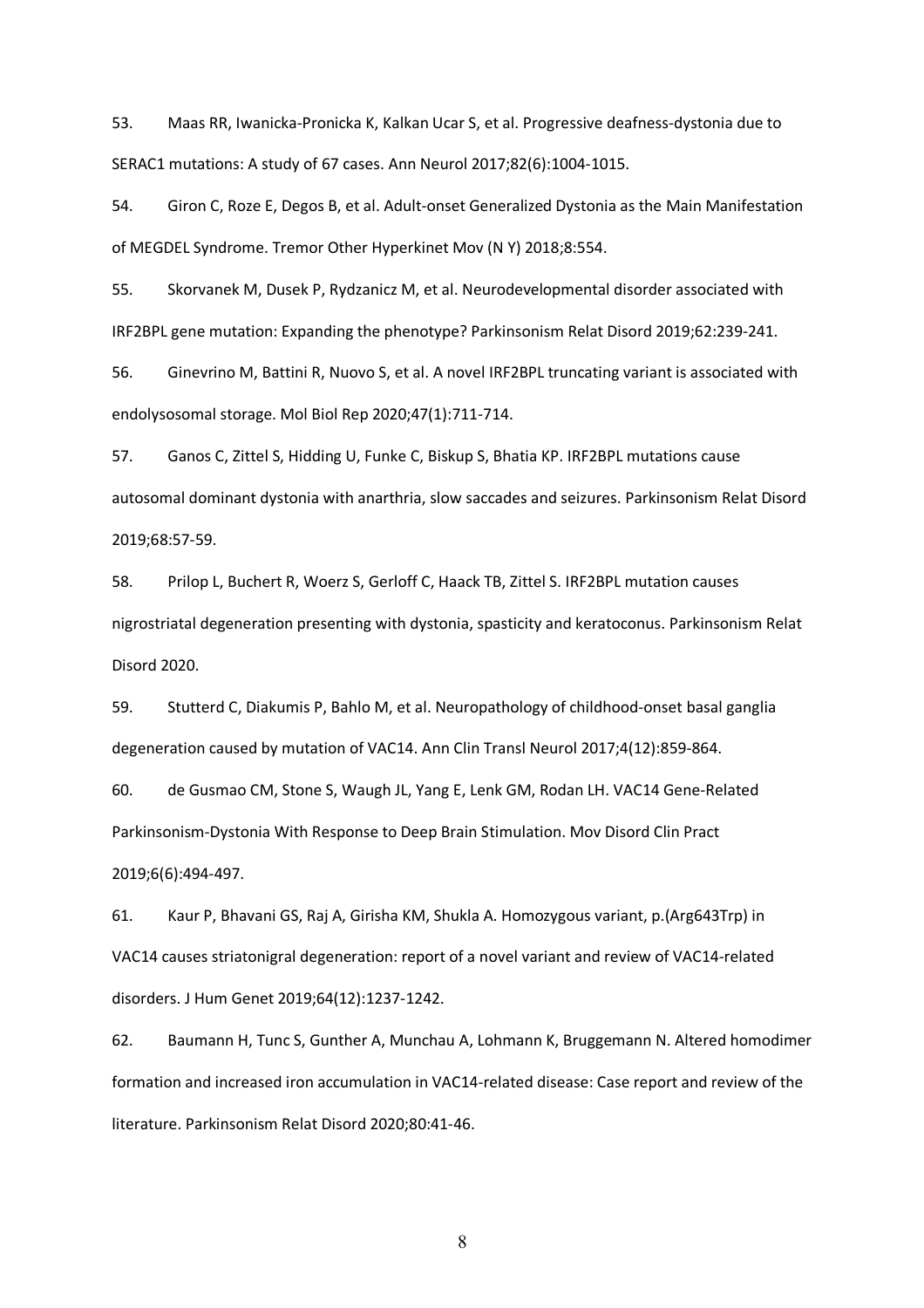53. Maas RR, Iwanicka-Pronicka K, Kalkan Ucar S, et al. Progressive deafness-dystonia due to SERAC1 mutations: A study of 67 cases. Ann Neurol 2017;82(6):1004-1015.

54. Giron C, Roze E, Degos B, et al. Adult-onset Generalized Dystonia as the Main Manifestation of MEGDEL Syndrome. Tremor Other Hyperkinet Mov (N Y) 2018;8:554.

55. Skorvanek M, Dusek P, Rydzanicz M, et al. Neurodevelopmental disorder associated with IRF2BPL gene mutation: Expanding the phenotype? Parkinsonism Relat Disord 2019;62:239-241.

56. Ginevrino M, Battini R, Nuovo S, et al. A novel IRF2BPL truncating variant is associated with endolysosomal storage. Mol Biol Rep 2020;47(1):711-714.

57. Ganos C, Zittel S, Hidding U, Funke C, Biskup S, Bhatia KP. IRF2BPL mutations cause autosomal dominant dystonia with anarthria, slow saccades and seizures. Parkinsonism Relat Disord 2019;68:57-59.

58. Prilop L, Buchert R, Woerz S, Gerloff C, Haack TB, Zittel S. IRF2BPL mutation causes nigrostriatal degeneration presenting with dystonia, spasticity and keratoconus. Parkinsonism Relat Disord 2020.

59. Stutterd C, Diakumis P, Bahlo M, et al. Neuropathology of childhood-onset basal ganglia degeneration caused by mutation of VAC14. Ann Clin Transl Neurol 2017;4(12):859-864.

60. de Gusmao CM, Stone S, Waugh JL, Yang E, Lenk GM, Rodan LH. VAC14 Gene-Related Parkinsonism-Dystonia With Response to Deep Brain Stimulation. Mov Disord Clin Pract 2019;6(6):494-497.

61. Kaur P, Bhavani GS, Raj A, Girisha KM, Shukla A. Homozygous variant, p.(Arg643Trp) in VAC14 causes striatonigral degeneration: report of a novel variant and review of VAC14-related disorders. J Hum Genet 2019;64(12):1237-1242.

62. Baumann H, Tunc S, Gunther A, Munchau A, Lohmann K, Bruggemann N. Altered homodimer formation and increased iron accumulation in VAC14-related disease: Case report and review of the literature. Parkinsonism Relat Disord 2020;80:41-46.